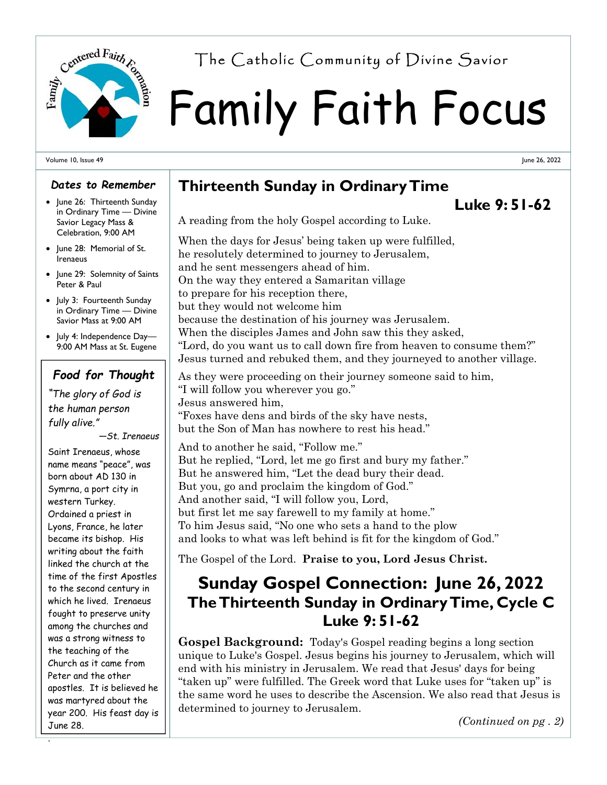

# Family Faith Focus Centered Fairth  $r_{\alpha}$  The Catholic Community of Divine Savior

#### Volume 10, Issue 49

#### *Dates to Remember*

- June 26: Thirteenth Sunday in Ordinary Time — Divine Savior Legacy Mass & Celebration, 9:00 AM
- Iune 28: Memorial of St. Irenaeus
- June 29: Solemnity of Saints Peter & Paul
- July 3: Fourteenth Sunday in Ordinary Time — Divine Savior Mass at 9:00 AM
- July 4: Independence Day— 9:00 AM Mass at St. Eugene

### *Food for Thought*

*"The glory of God is the human person fully alive."* 

*—St. Irenaeus* 

Saint Irenaeus, whose name means "peace", was born about AD 130 in Symrna, a port city in western Turkey. Ordained a priest in Lyons, France, he later became its bishop. His writing about the faith linked the church at the time of the first Apostles to the second century in which he lived. Irenaeus fought to preserve unity among the churches and was a strong witness to the teaching of the Church as it came from Peter and the other apostles. It is believed he was martyred about the year 200. His feast day is June 28.

.

## **Thirteenth Sunday in Ordinary Time**

## **Luke 9: 51-62**

June 26, 2022

A reading from the holy Gospel according to Luke.

When the days for Jesus' being taken up were fulfilled, he resolutely determined to journey to Jerusalem, and he sent messengers ahead of him. On the way they entered a Samaritan village to prepare for his reception there, but they would not welcome him because the destination of his journey was Jerusalem. When the disciples James and John saw this they asked, "Lord, do you want us to call down fire from heaven to consume them?" Jesus turned and rebuked them, and they journeyed to another village.

As they were proceeding on their journey someone said to him, "I will follow you wherever you go." Jesus answered him, "Foxes have dens and birds of the sky have nests, but the Son of Man has nowhere to rest his head."

And to another he said, "Follow me." But he replied, "Lord, let me go first and bury my father." But he answered him, "Let the dead bury their dead. But you, go and proclaim the kingdom of God." And another said, "I will follow you, Lord, but first let me say farewell to my family at home." To him Jesus said, "No one who sets a hand to the plow and looks to what was left behind is fit for the kingdom of God."

The Gospel of the Lord. **Praise to you, Lord Jesus Christ.** 

## **Sunday Gospel Connection: June 26, 2022 The Thirteenth Sunday in Ordinary Time, Cycle C Luke 9: 51-62**

**Gospel Background:** Today's Gospel reading begins a long section unique to Luke's Gospel. Jesus begins his journey to Jerusalem, which will end with his ministry in Jerusalem. We read that Jesus' days for being "taken up" were fulfilled. The Greek word that Luke uses for "taken up" is the same word he uses to describe the Ascension. We also read that Jesus is determined to journey to Jerusalem.

*(Continued on pg . 2)*